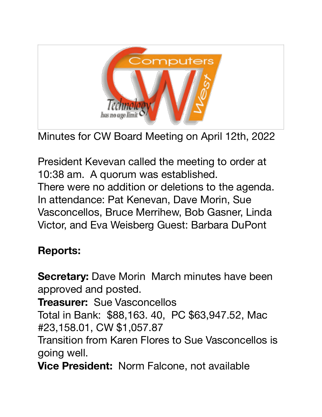



President Kevevan called the meeting to order at 10:38 am. A quorum was established. There were no addition or deletions to the agenda. In attendance: Pat Kenevan, Dave Morin, Sue Vasconcellos, Bruce Merrihew, Bob Gasner, Linda Victor, and Eva Weisberg Guest: Barbara DuPont

## **Reports:**

**Secretary:** Dave Morin March minutes have been approved and posted.

**Treasurer:** Sue Vasconcellos

Total in Bank: \$88,163. 40, PC \$63,947.52, Mac #23,158.01, CW \$1,057.87

Transition from Karen Flores to Sue Vasconcellos is going well.

**Vice President:** Norm Falcone, not available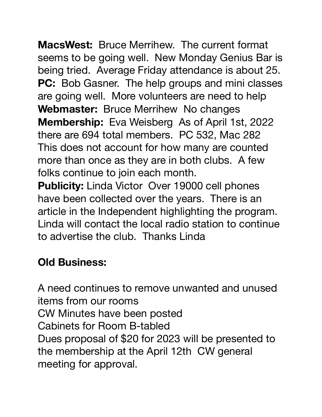**MacsWest:** Bruce Merrihew. The current format seems to be going well. New Monday Genius Bar is being tried. Average Friday attendance is about 25. **PC:** Bob Gasner. The help groups and mini classes are going well. More volunteers are need to help **Webmaster:** Bruce Merrihew No changes **Membership:** Eva Weisberg As of April 1st, 2022 there are 694 total members. PC 532, Mac 282 This does not account for how many are counted more than once as they are in both clubs. A few folks continue to join each month.

**Publicity:** Linda Victor Over 19000 cell phones have been collected over the years. There is an article in the Independent highlighting the program. Linda will contact the local radio station to continue to advertise the club. Thanks Linda

## **Old Business:**

A need continues to remove unwanted and unused items from our rooms CW Minutes have been posted Cabinets for Room B-tabled Dues proposal of \$20 for 2023 will be presented to the membership at the April 12th CW general meeting for approval.